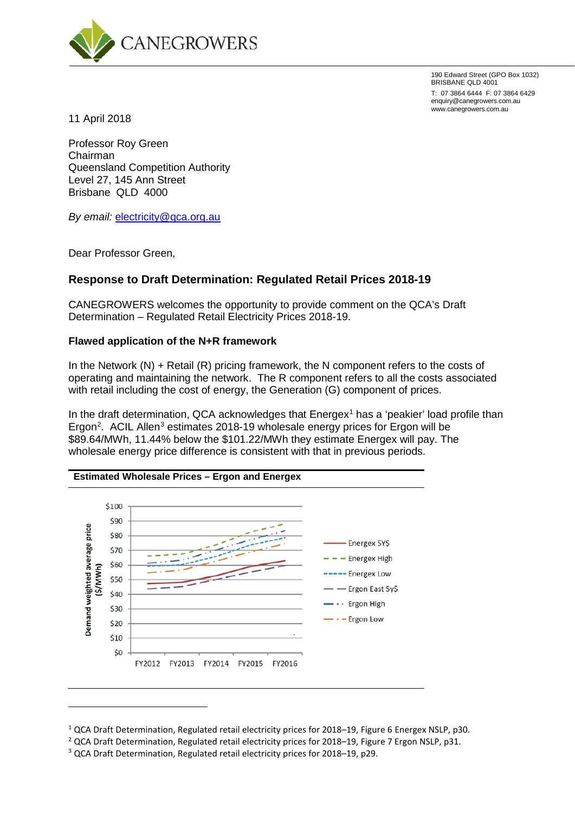

190 Edward Street (GPO Box 1032) BRISBANE QLD 4001

T: 07 3864 6444 F: 07 3864 6429 enquiry@canegrowers.com.au www.canegrowers.com.au

11 April 2018

Professor Roy Green Chairman Queensland Competition Authority Level 27, 145 Ann Street Brisbane QLD 4000

*By email:* [electricity@qca.org.au](mailto:electricity@qca.org.au)

Dear Professor Green,

<u>.</u>

# **Response to Draft Determination: Regulated Retail Prices 2018-19**

CANEGROWERS welcomes the opportunity to provide comment on the QCA's Draft Determination – Regulated Retail Electricity Prices 2018-19.

### **Flawed application of the N+R framework**

In the Network (N) + Retail (R) pricing framework, the N component refers to the costs of operating and maintaining the network. The R component refers to all the costs associated with retail including the cost of energy, the Generation (G) component of prices.

In the draft determination, QCA acknowledges that  $Energy<sup>1</sup>$  $Energy<sup>1</sup>$  $Energy<sup>1</sup>$  has a 'peakier' load profile than Ergon<sup>[2](#page-0-1)</sup>. ACIL Allen<sup>[3](#page-0-2)</sup> estimates 2018-19 wholesale energy prices for Ergon will be \$89.64/MWh, 11.44% below the \$101.22/MWh they estimate Energex will pay. The wholesale energy price difference is consistent with that in previous periods.



<span id="page-0-1"></span><span id="page-0-0"></span><sup>&</sup>lt;sup>1</sup> QCA Draft Determination, Regulated retail electricity prices for 2018–19, Figure 6 Energex NSLP, p30.<br><sup>2</sup> QCA Draft Determination, Regulated retail electricity prices for 2018–19, Figure 7 Ergon NSLP, p31.

<span id="page-0-2"></span><sup>3</sup> QCA Draft Determination, Regulated retail electricity prices for 2018–19, p29.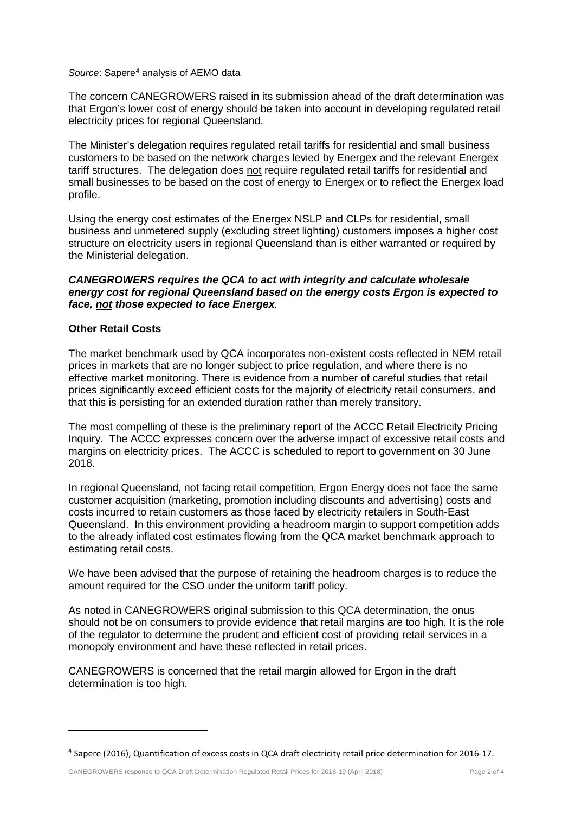#### Source: Sapere<sup>[4](#page-1-0)</sup> analysis of AEMO data

The concern CANEGROWERS raised in its submission ahead of the draft determination was that Ergon's lower cost of energy should be taken into account in developing regulated retail electricity prices for regional Queensland.

The Minister's delegation requires regulated retail tariffs for residential and small business customers to be based on the network charges levied by Energex and the relevant Energex tariff structures. The delegation does not require regulated retail tariffs for residential and small businesses to be based on the cost of energy to Energex or to reflect the Energex load profile.

Using the energy cost estimates of the Energex NSLP and CLPs for residential, small business and unmetered supply (excluding street lighting) customers imposes a higher cost structure on electricity users in regional Queensland than is either warranted or required by the Ministerial delegation.

### *CANEGROWERS requires the QCA to act with integrity and calculate wholesale energy cost for regional Queensland based on the energy costs Ergon is expected to face, not those expected to face Energex.*

### **Other Retail Costs**

 $\overline{a}$ 

The market benchmark used by QCA incorporates non-existent costs reflected in NEM retail prices in markets that are no longer subject to price regulation, and where there is no effective market monitoring. There is evidence from a number of careful studies that retail prices significantly exceed efficient costs for the majority of electricity retail consumers, and that this is persisting for an extended duration rather than merely transitory.

The most compelling of these is the preliminary report of the ACCC Retail Electricity Pricing Inquiry. The ACCC expresses concern over the adverse impact of excessive retail costs and margins on electricity prices. The ACCC is scheduled to report to government on 30 June 2018.

In regional Queensland, not facing retail competition, Ergon Energy does not face the same customer acquisition (marketing, promotion including discounts and advertising) costs and costs incurred to retain customers as those faced by electricity retailers in South-East Queensland. In this environment providing a headroom margin to support competition adds to the already inflated cost estimates flowing from the QCA market benchmark approach to estimating retail costs.

We have been advised that the purpose of retaining the headroom charges is to reduce the amount required for the CSO under the uniform tariff policy.

As noted in CANEGROWERS original submission to this QCA determination, the onus should not be on consumers to provide evidence that retail margins are too high. It is the role of the regulator to determine the prudent and efficient cost of providing retail services in a monopoly environment and have these reflected in retail prices.

CANEGROWERS is concerned that the retail margin allowed for Ergon in the draft determination is too high.

<span id="page-1-0"></span><sup>4</sup> Sapere (2016), Quantification of excess costs in QCA draft electricity retail price determination for 2016-17.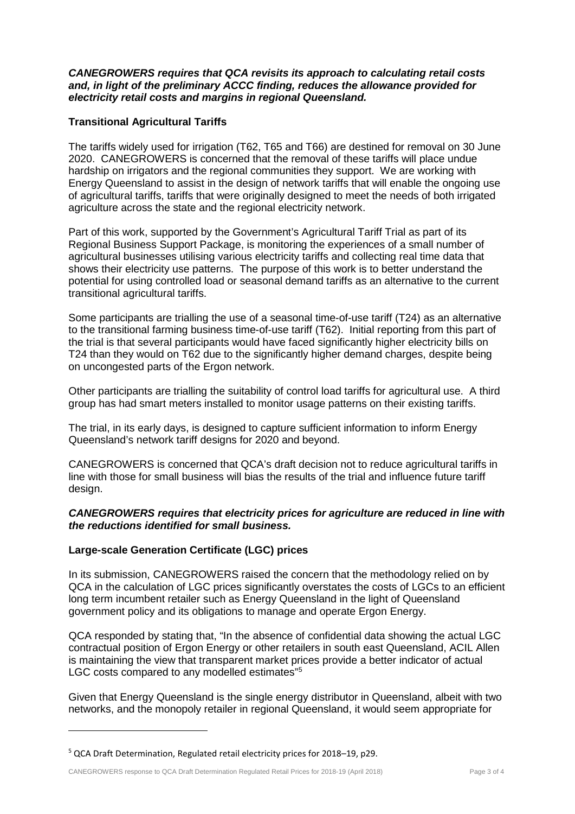### *CANEGROWERS requires that QCA revisits its approach to calculating retail costs and, in light of the preliminary ACCC finding, reduces the allowance provided for electricity retail costs and margins in regional Queensland.*

## **Transitional Agricultural Tariffs**

The tariffs widely used for irrigation (T62, T65 and T66) are destined for removal on 30 June 2020. CANEGROWERS is concerned that the removal of these tariffs will place undue hardship on irrigators and the regional communities they support. We are working with Energy Queensland to assist in the design of network tariffs that will enable the ongoing use of agricultural tariffs, tariffs that were originally designed to meet the needs of both irrigated agriculture across the state and the regional electricity network.

Part of this work, supported by the Government's Agricultural Tariff Trial as part of its Regional Business Support Package, is monitoring the experiences of a small number of agricultural businesses utilising various electricity tariffs and collecting real time data that shows their electricity use patterns. The purpose of this work is to better understand the potential for using controlled load or seasonal demand tariffs as an alternative to the current transitional agricultural tariffs.

Some participants are trialling the use of a seasonal time-of-use tariff (T24) as an alternative to the transitional farming business time-of-use tariff (T62). Initial reporting from this part of the trial is that several participants would have faced significantly higher electricity bills on T24 than they would on T62 due to the significantly higher demand charges, despite being on uncongested parts of the Ergon network.

Other participants are trialling the suitability of control load tariffs for agricultural use. A third group has had smart meters installed to monitor usage patterns on their existing tariffs.

The trial, in its early days, is designed to capture sufficient information to inform Energy Queensland's network tariff designs for 2020 and beyond.

CANEGROWERS is concerned that QCA's draft decision not to reduce agricultural tariffs in line with those for small business will bias the results of the trial and influence future tariff design.

### *CANEGROWERS requires that electricity prices for agriculture are reduced in line with the reductions identified for small business.*

### **Large-scale Generation Certificate (LGC) prices**

 $\overline{a}$ 

In its submission, CANEGROWERS raised the concern that the methodology relied on by QCA in the calculation of LGC prices significantly overstates the costs of LGCs to an efficient long term incumbent retailer such as Energy Queensland in the light of Queensland government policy and its obligations to manage and operate Ergon Energy.

QCA responded by stating that, "In the absence of confidential data showing the actual LGC contractual position of Ergon Energy or other retailers in south east Queensland, ACIL Allen is maintaining the view that transparent market prices provide a better indicator of actual LGC costs compared to any modelled estimates<sup>"[5](#page-2-0)</sup>

Given that Energy Queensland is the single energy distributor in Queensland, albeit with two networks, and the monopoly retailer in regional Queensland, it would seem appropriate for

<span id="page-2-0"></span><sup>5</sup> QCA Draft Determination, Regulated retail electricity prices for 2018–19, p29.